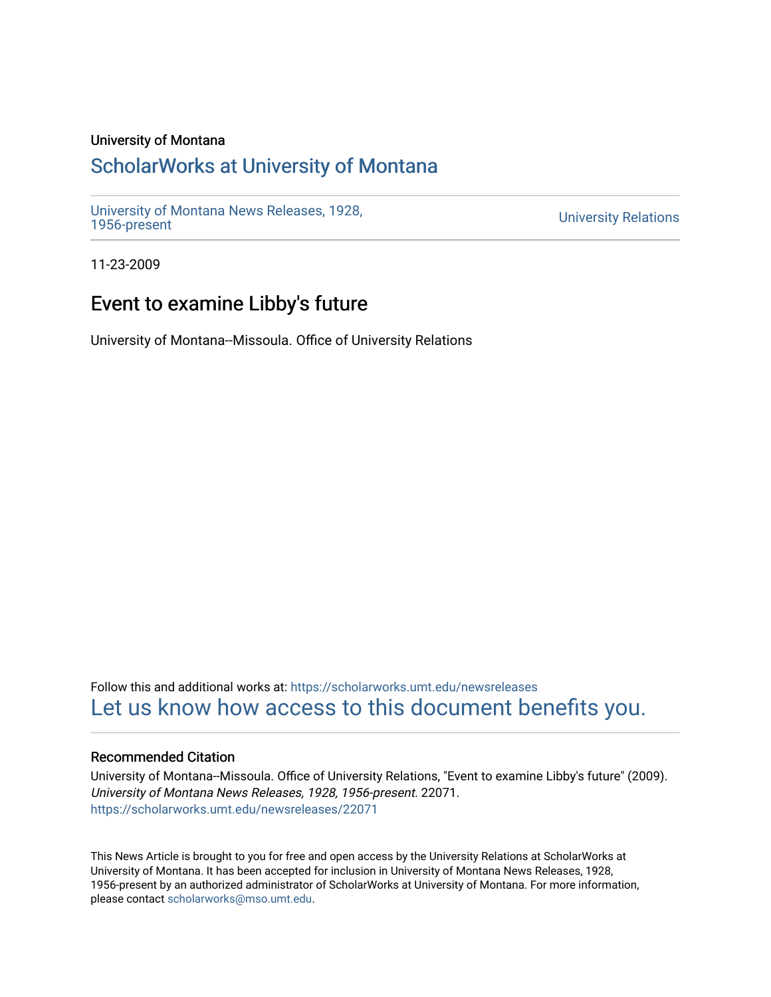### University of Montana

## [ScholarWorks at University of Montana](https://scholarworks.umt.edu/)

[University of Montana News Releases, 1928,](https://scholarworks.umt.edu/newsreleases) 

**University Relations** 

11-23-2009

## Event to examine Libby's future

University of Montana--Missoula. Office of University Relations

Follow this and additional works at: [https://scholarworks.umt.edu/newsreleases](https://scholarworks.umt.edu/newsreleases?utm_source=scholarworks.umt.edu%2Fnewsreleases%2F22071&utm_medium=PDF&utm_campaign=PDFCoverPages) [Let us know how access to this document benefits you.](https://goo.gl/forms/s2rGfXOLzz71qgsB2) 

### Recommended Citation

University of Montana--Missoula. Office of University Relations, "Event to examine Libby's future" (2009). University of Montana News Releases, 1928, 1956-present. 22071. [https://scholarworks.umt.edu/newsreleases/22071](https://scholarworks.umt.edu/newsreleases/22071?utm_source=scholarworks.umt.edu%2Fnewsreleases%2F22071&utm_medium=PDF&utm_campaign=PDFCoverPages) 

This News Article is brought to you for free and open access by the University Relations at ScholarWorks at University of Montana. It has been accepted for inclusion in University of Montana News Releases, 1928, 1956-present by an authorized administrator of ScholarWorks at University of Montana. For more information, please contact [scholarworks@mso.umt.edu.](mailto:scholarworks@mso.umt.edu)